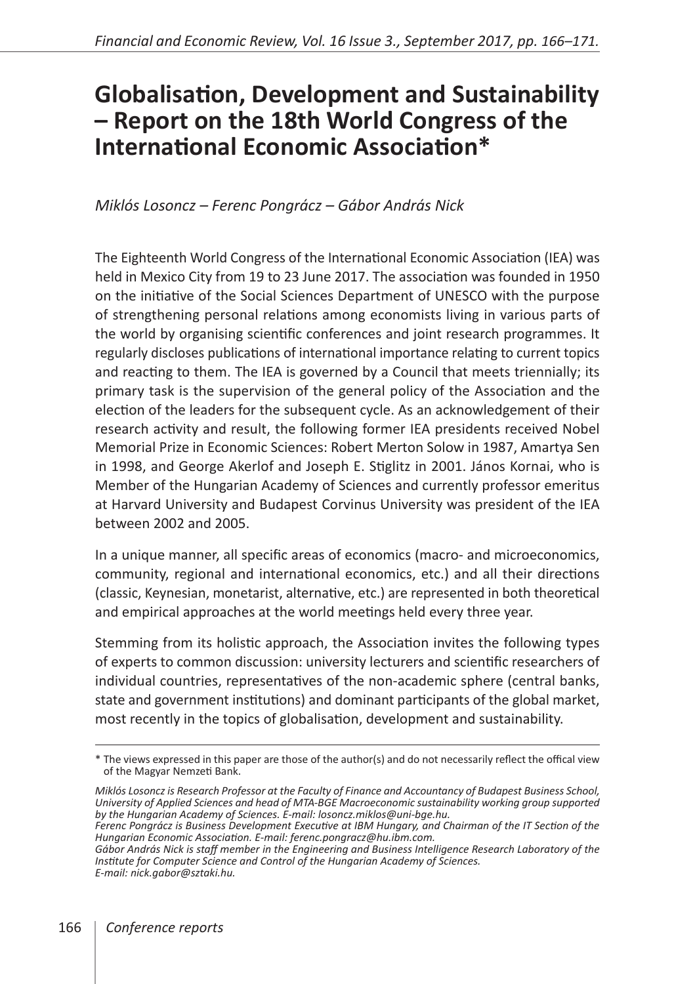## **Globalisation, Development and Sustainability – Report on the 18th World Congress of the International Economic Association\***

## *Miklós Losoncz – Ferenc Pongrácz – Gábor András Nick*

The Eighteenth World Congress of the International Economic Association (IEA) was held in Mexico City from 19 to 23 June 2017. The association was founded in 1950 on the initiative of the Social Sciences Department of UNESCO with the purpose of strengthening personal relations among economists living in various parts of the world by organising scientific conferences and joint research programmes. It regularly discloses publications of international importance relating to current topics and reacting to them. The IEA is governed by a Council that meets triennially; its primary task is the supervision of the general policy of the Association and the election of the leaders for the subsequent cycle. As an acknowledgement of their research activity and result, the following former IEA presidents received Nobel Memorial Prize in Economic Sciences: Robert Merton Solow in 1987, Amartya Sen in 1998, and George Akerlof and Joseph E. Stiglitz in 2001. János Kornai, who is Member of the Hungarian Academy of Sciences and currently professor emeritus at Harvard University and Budapest Corvinus University was president of the IEA between 2002 and 2005.

In a unique manner, all specific areas of economics (macro- and microeconomics, community, regional and international economics, etc.) and all their directions (classic, Keynesian, monetarist, alternative, etc.) are represented in both theoretical and empirical approaches at the world meetings held every three year.

Stemming from its holistic approach, the Association invites the following types of experts to common discussion: university lecturers and scientific researchers of individual countries, representatives of the non-academic sphere (central banks, state and government institutions) and dominant participants of the global market, most recently in the topics of globalisation, development and sustainability.

<sup>\*</sup> The views expressed in this paper are those of the author(s) and do not necessarily reflect the offical view of the Magyar Nemzeti Bank.

*Miklós Losoncz is Research Professor at the Faculty of Finance and Accountancy of Budapest Business School, University of Applied Sciences and head of MTA-BGE Macroeconomic sustainability working group supported by the Hungarian Academy of Sciences. E-mail: losoncz.miklos@uni-bge.hu.*

*Ferenc Pongrácz is Business Development Executive at IBM Hungary, and Chairman of the IT Section of the Hungarian Economic Association. E-mail: ferenc.pongracz@hu.ibm.com.*

*Gábor András Nick is staff member in the Engineering and Business Intelligence Research Laboratory of the Institute for Computer Science and Control of the Hungarian Academy of Sciences. E-mail: nick.gabor@sztaki.hu.*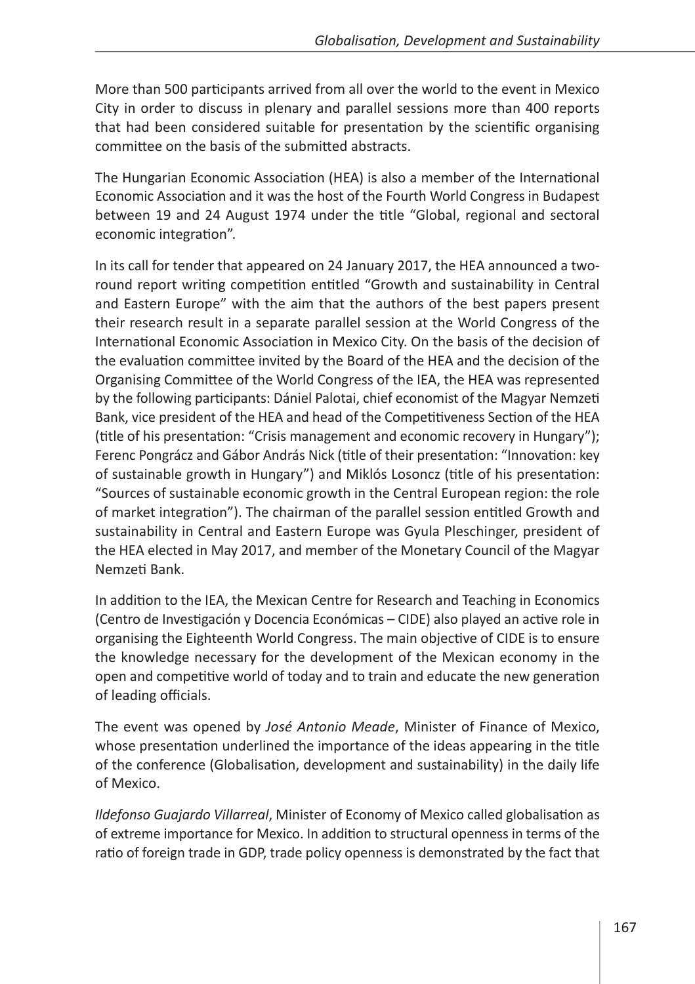More than 500 participants arrived from all over the world to the event in Mexico City in order to discuss in plenary and parallel sessions more than 400 reports that had been considered suitable for presentation by the scientific organising committee on the basis of the submitted abstracts.

The Hungarian Economic Association (HEA) is also a member of the International Economic Association and it was the host of the Fourth World Congress in Budapest between 19 and 24 August 1974 under the title "Global, regional and sectoral economic integration".

In its call for tender that appeared on 24 January 2017, the HEA announced a tworound report writing competition entitled "Growth and sustainability in Central and Eastern Europe" with the aim that the authors of the best papers present their research result in a separate parallel session at the World Congress of the International Economic Association in Mexico City. On the basis of the decision of the evaluation committee invited by the Board of the HEA and the decision of the Organising Committee of the World Congress of the IEA, the HEA was represented by the following participants: Dániel Palotai, chief economist of the Magyar Nemzeti Bank, vice president of the HEA and head of the Competitiveness Section of the HEA (title of his presentation: "Crisis management and economic recovery in Hungary"); Ferenc Pongrácz and Gábor András Nick (title of their presentation: "Innovation: key of sustainable growth in Hungary") and Miklós Losoncz (title of his presentation: "Sources of sustainable economic growth in the Central European region: the role of market integration"). The chairman of the parallel session entitled Growth and sustainability in Central and Eastern Europe was Gyula Pleschinger, president of the HEA elected in May 2017, and member of the Monetary Council of the Magyar Nemzeti Bank.

In addition to the IEA, the Mexican Centre for Research and Teaching in Economics (Centro de Investigación y Docencia Económicas – CIDE) also played an active role in organising the Eighteenth World Congress. The main objective of CIDE is to ensure the knowledge necessary for the development of the Mexican economy in the open and competitive world of today and to train and educate the new generation of leading officials.

The event was opened by *José Antonio Meade*, Minister of Finance of Mexico, whose presentation underlined the importance of the ideas appearing in the title of the conference (Globalisation, development and sustainability) in the daily life of Mexico.

*Ildefonso Guajardo Villarreal*, Minister of Economy of Mexico called globalisation as of extreme importance for Mexico. In addition to structural openness in terms of the ratio of foreign trade in GDP, trade policy openness is demonstrated by the fact that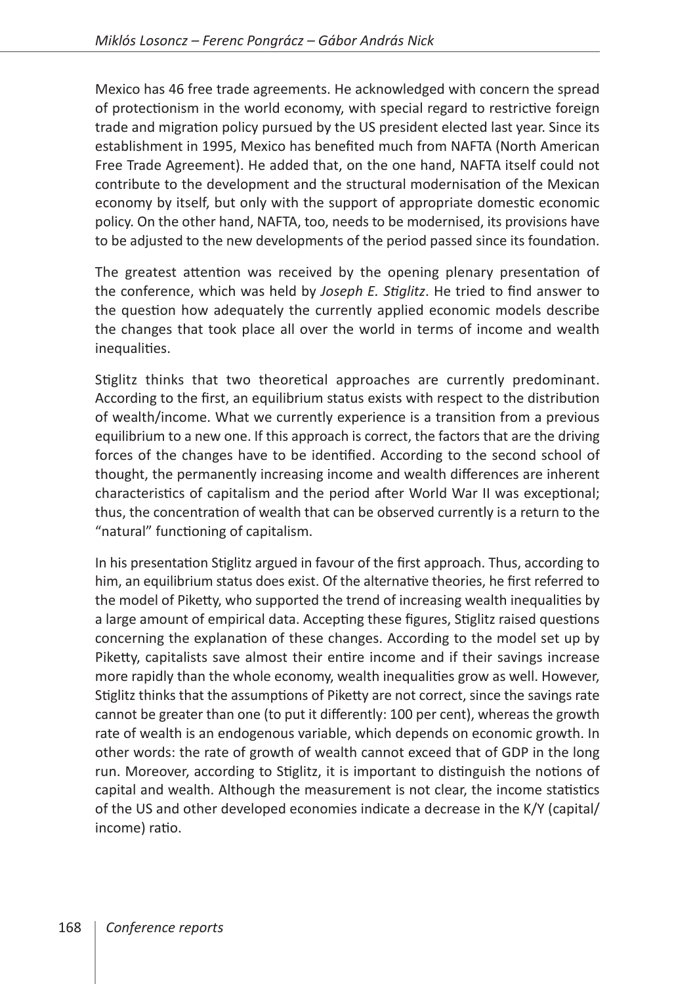Mexico has 46 free trade agreements. He acknowledged with concern the spread of protectionism in the world economy, with special regard to restrictive foreign trade and migration policy pursued by the US president elected last year. Since its establishment in 1995, Mexico has benefited much from NAFTA (North American Free Trade Agreement). He added that, on the one hand, NAFTA itself could not contribute to the development and the structural modernisation of the Mexican economy by itself, but only with the support of appropriate domestic economic policy. On the other hand, NAFTA, too, needs to be modernised, its provisions have to be adjusted to the new developments of the period passed since its foundation.

The greatest attention was received by the opening plenary presentation of the conference, which was held by *Joseph E. Stiglitz*. He tried to find answer to the question how adequately the currently applied economic models describe the changes that took place all over the world in terms of income and wealth inequalities.

Stiglitz thinks that two theoretical approaches are currently predominant. According to the first, an equilibrium status exists with respect to the distribution of wealth/income. What we currently experience is a transition from a previous equilibrium to a new one. If this approach is correct, the factors that are the driving forces of the changes have to be identified. According to the second school of thought, the permanently increasing income and wealth differences are inherent characteristics of capitalism and the period after World War II was exceptional; thus, the concentration of wealth that can be observed currently is a return to the "natural" functioning of capitalism.

In his presentation Stiglitz argued in favour of the first approach. Thus, according to him, an equilibrium status does exist. Of the alternative theories, he first referred to the model of Piketty, who supported the trend of increasing wealth inequalities by a large amount of empirical data. Accepting these figures, Stiglitz raised questions concerning the explanation of these changes. According to the model set up by Piketty, capitalists save almost their entire income and if their savings increase more rapidly than the whole economy, wealth inequalities grow as well. However, Stiglitz thinks that the assumptions of Piketty are not correct, since the savings rate cannot be greater than one (to put it differently: 100 per cent), whereas the growth rate of wealth is an endogenous variable, which depends on economic growth. In other words: the rate of growth of wealth cannot exceed that of GDP in the long run. Moreover, according to Stiglitz, it is important to distinguish the notions of capital and wealth. Although the measurement is not clear, the income statistics of the US and other developed economies indicate a decrease in the K/Y (capital/ income) ratio.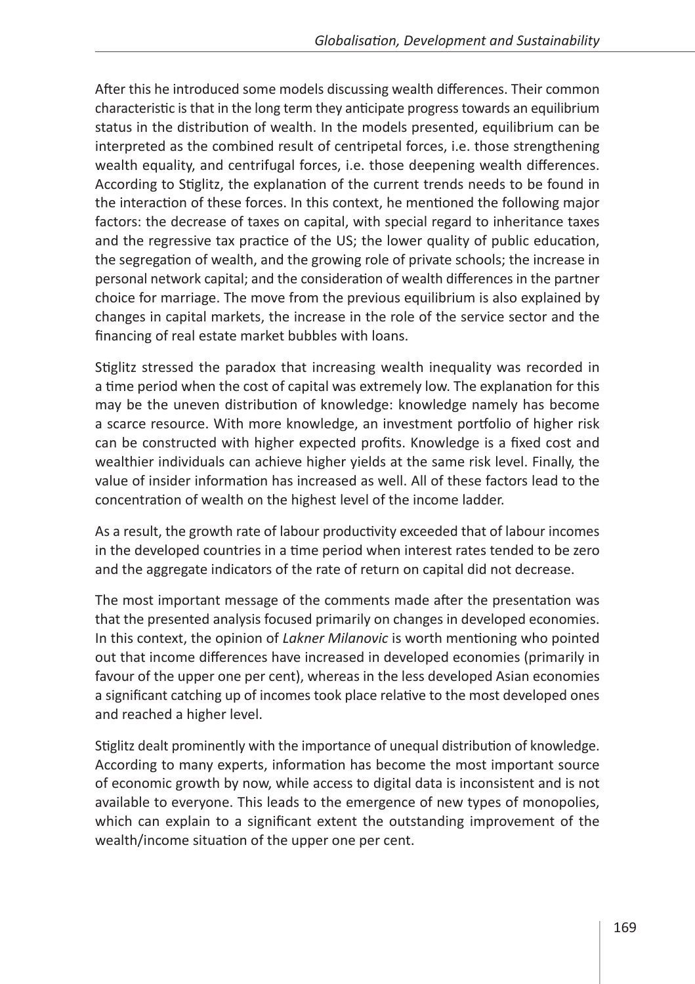After this he introduced some models discussing wealth differences. Their common characteristic is that in the long term they anticipate progress towards an equilibrium status in the distribution of wealth. In the models presented, equilibrium can be interpreted as the combined result of centripetal forces, i.e. those strengthening wealth equality, and centrifugal forces, i.e. those deepening wealth differences. According to Stiglitz, the explanation of the current trends needs to be found in the interaction of these forces. In this context, he mentioned the following major factors: the decrease of taxes on capital, with special regard to inheritance taxes and the regressive tax practice of the US; the lower quality of public education, the segregation of wealth, and the growing role of private schools; the increase in personal network capital; and the consideration of wealth differences in the partner choice for marriage. The move from the previous equilibrium is also explained by changes in capital markets, the increase in the role of the service sector and the financing of real estate market bubbles with loans.

Stiglitz stressed the paradox that increasing wealth inequality was recorded in a time period when the cost of capital was extremely low. The explanation for this may be the uneven distribution of knowledge: knowledge namely has become a scarce resource. With more knowledge, an investment portfolio of higher risk can be constructed with higher expected profits. Knowledge is a fixed cost and wealthier individuals can achieve higher yields at the same risk level. Finally, the value of insider information has increased as well. All of these factors lead to the concentration of wealth on the highest level of the income ladder.

As a result, the growth rate of labour productivity exceeded that of labour incomes in the developed countries in a time period when interest rates tended to be zero and the aggregate indicators of the rate of return on capital did not decrease.

The most important message of the comments made after the presentation was that the presented analysis focused primarily on changes in developed economies. In this context, the opinion of *Lakner Milanovic* is worth mentioning who pointed out that income differences have increased in developed economies (primarily in favour of the upper one per cent), whereas in the less developed Asian economies a significant catching up of incomes took place relative to the most developed ones and reached a higher level.

Stiglitz dealt prominently with the importance of unequal distribution of knowledge. According to many experts, information has become the most important source of economic growth by now, while access to digital data is inconsistent and is not available to everyone. This leads to the emergence of new types of monopolies, which can explain to a significant extent the outstanding improvement of the wealth/income situation of the upper one per cent.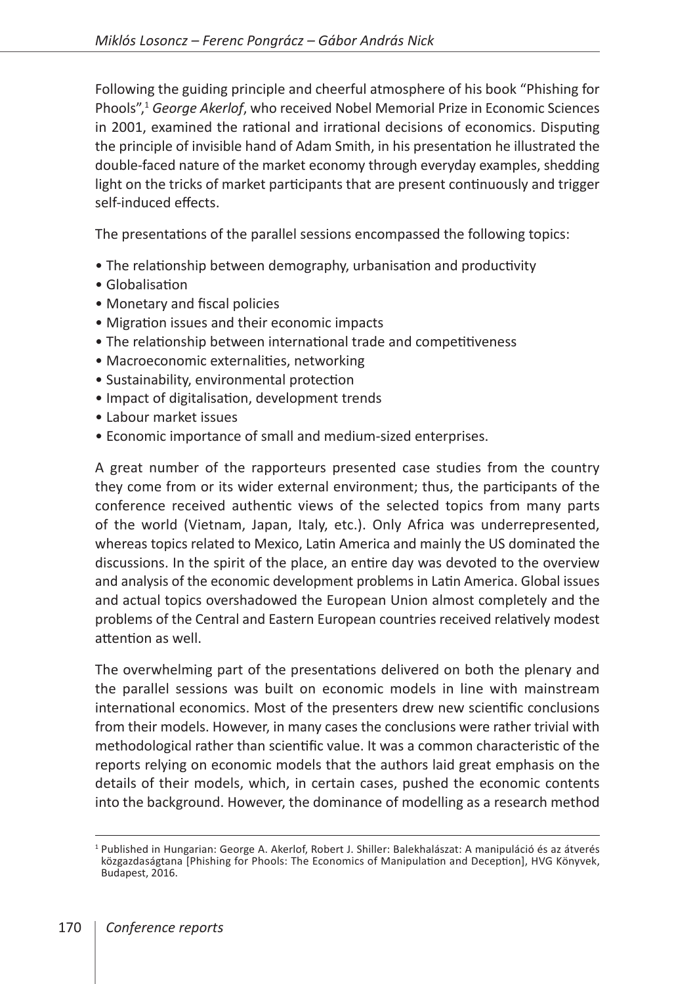Following the guiding principle and cheerful atmosphere of his book "Phishing for Phools",1 *George Akerlof*, who received Nobel Memorial Prize in Economic Sciences in 2001, examined the rational and irrational decisions of economics. Disputing the principle of invisible hand of Adam Smith, in his presentation he illustrated the double-faced nature of the market economy through everyday examples, shedding light on the tricks of market participants that are present continuously and trigger self-induced effects.

The presentations of the parallel sessions encompassed the following topics:

- The relationship between demography, urbanisation and productivity
- Globalisation
- Monetary and fiscal policies
- Migration issues and their economic impacts
- The relationship between international trade and competitiveness
- Macroeconomic externalities, networking
- Sustainability, environmental protection
- Impact of digitalisation, development trends
- Labour market issues
- Economic importance of small and medium-sized enterprises.

A great number of the rapporteurs presented case studies from the country they come from or its wider external environment; thus, the participants of the conference received authentic views of the selected topics from many parts of the world (Vietnam, Japan, Italy, etc.). Only Africa was underrepresented, whereas topics related to Mexico, Latin America and mainly the US dominated the discussions. In the spirit of the place, an entire day was devoted to the overview and analysis of the economic development problems in Latin America. Global issues and actual topics overshadowed the European Union almost completely and the problems of the Central and Eastern European countries received relatively modest attention as well.

The overwhelming part of the presentations delivered on both the plenary and the parallel sessions was built on economic models in line with mainstream international economics. Most of the presenters drew new scientific conclusions from their models. However, in many cases the conclusions were rather trivial with methodological rather than scientific value. It was a common characteristic of the reports relying on economic models that the authors laid great emphasis on the details of their models, which, in certain cases, pushed the economic contents into the background. However, the dominance of modelling as a research method

<sup>1</sup> Published in Hungarian: George A. Akerlof, Robert J. Shiller: Balekhalászat: A manipuláció és az átverés közgazdaságtana [Phishing for Phools: The Economics of Manipulation and Deception], HVG Könyvek, Budapest, 2016.